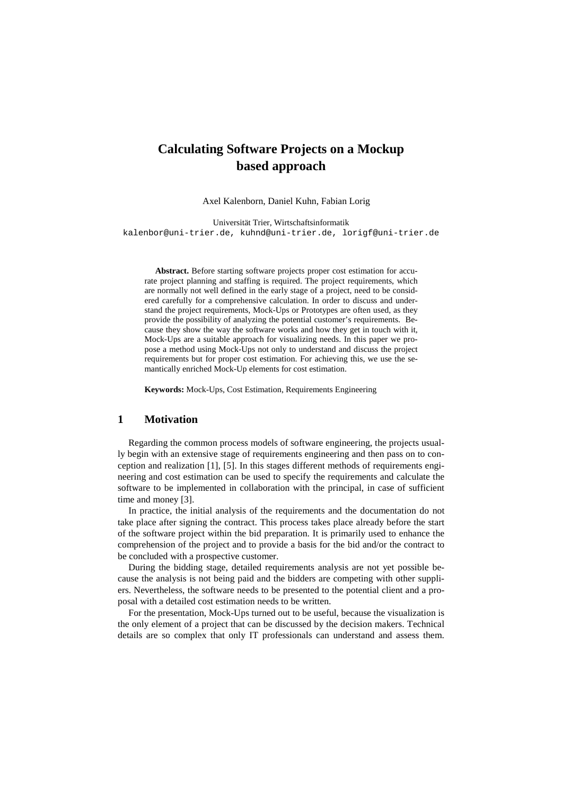# **Calculating Software Projects on a Mockup based approach**

Axel Kalenborn, Daniel Kuhn, Fabian Lorig

Universität Trier, Wirtschaftsinformatik kalenbor@uni-trier.de, kuhnd@uni-trier.de, lorigf@uni-trier.de

**Abstract.** Before starting software projects proper cost estimation for accurate project planning and staffing is required. The project requirements, which are normally not well defined in the early stage of a project, need to be considered carefully for a comprehensive calculation. In order to discuss and understand the project requirements, Mock-Ups or Prototypes are often used, as they provide the possibility of analyzing the potential customer's requirements. Because they show the way the software works and how they get in touch with it, Mock-Ups are a suitable approach for visualizing needs. In this paper we propose a method using Mock-Ups not only to understand and discuss the project requirements but for proper cost estimation. For achieving this, we use the semantically enriched Mock-Up elements for cost estimation.

**Keywords:** Mock-Ups, Cost Estimation, Requirements Engineering

## **1 Motivation**

Regarding the common process models of software engineering, the projects usually begin with an extensive stage of requirements engineering and then pass on to conception and realization [1], [5]. In this stages different methods of requirements engineering and cost estimation can be used to specify the requirements and calculate the software to be implemented in collaboration with the principal, in case of sufficient time and money [3].

In practice, the initial analysis of the requirements and the documentation do not take place after signing the contract. This process takes place already before the start of the software project within the bid preparation. It is primarily used to enhance the comprehension of the project and to provide a basis for the bid and/or the contract to be concluded with a prospective customer.

During the bidding stage, detailed requirements analysis are not yet possible because the analysis is not being paid and the bidders are competing with other suppliers. Nevertheless, the software needs to be presented to the potential client and a proposal with a detailed cost estimation needs to be written.

For the presentation, Mock-Ups turned out to be useful, because the visualization is the only element of a project that can be discussed by the decision makers. Technical details are so complex that only IT professionals can understand and assess them.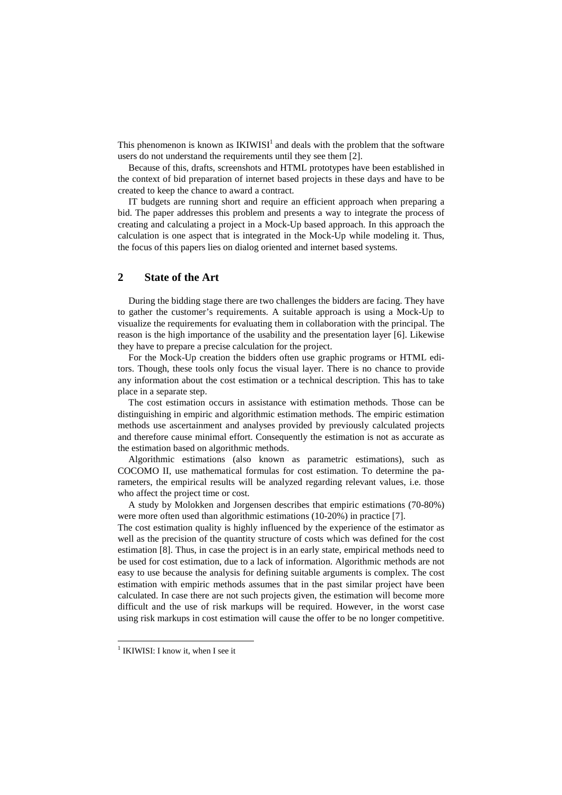This phenomenon is known as  $IKIWISI<sup>1</sup>$  and deals with the problem that the software users do not understand the requirements until they see them [2].

Because of this, drafts, screenshots and HTML prototypes have been established in the context of bid preparation of internet based projects in these days and have to be created to keep the chance to award a contract.

IT budgets are running short and require an efficient approach when preparing a bid. The paper addresses this problem and presents a way to integrate the process of creating and calculating a project in a Mock-Up based approach. In this approach the calculation is one aspect that is integrated in the Mock-Up while modeling it. Thus, the focus of this papers lies on dialog oriented and internet based systems.

# **2 State of the Art**

During the bidding stage there are two challenges the bidders are facing. They have to gather the customer's requirements. A suitable approach is using a Mock-Up to visualize the requirements for evaluating them in collaboration with the principal. The reason is the high importance of the usability and the presentation layer [6]. Likewise they have to prepare a precise calculation for the project.

For the Mock-Up creation the bidders often use graphic programs or HTML editors. Though, these tools only focus the visual layer. There is no chance to provide any information about the cost estimation or a technical description. This has to take place in a separate step.

The cost estimation occurs in assistance with estimation methods. Those can be distinguishing in empiric and algorithmic estimation methods. The empiric estimation methods use ascertainment and analyses provided by previously calculated projects and therefore cause minimal effort. Consequently the estimation is not as accurate as the estimation based on algorithmic methods.

Algorithmic estimations (also known as parametric estimations), such as COCOMO II, use mathematical formulas for cost estimation. To determine the parameters, the empirical results will be analyzed regarding relevant values, i.e. those who affect the project time or cost.

A study by Molokken and Jorgensen describes that empiric estimations (70-80%) were more often used than algorithmic estimations (10-20%) in practice [7].

The cost estimation quality is highly influenced by the experience of the estimator as well as the precision of the quantity structure of costs which was defined for the cost estimation [8]. Thus, in case the project is in an early state, empirical methods need to be used for cost estimation, due to a lack of information. Algorithmic methods are not easy to use because the analysis for defining suitable arguments is complex. The cost estimation with empiric methods assumes that in the past similar project have been calculated. In case there are not such projects given, the estimation will become more difficult and the use of risk markups will be required. However, in the worst case using risk markups in cost estimation will cause the offer to be no longer competitive.

<sup>&</sup>lt;sup>1</sup> IKIWISI: I know it, when I see it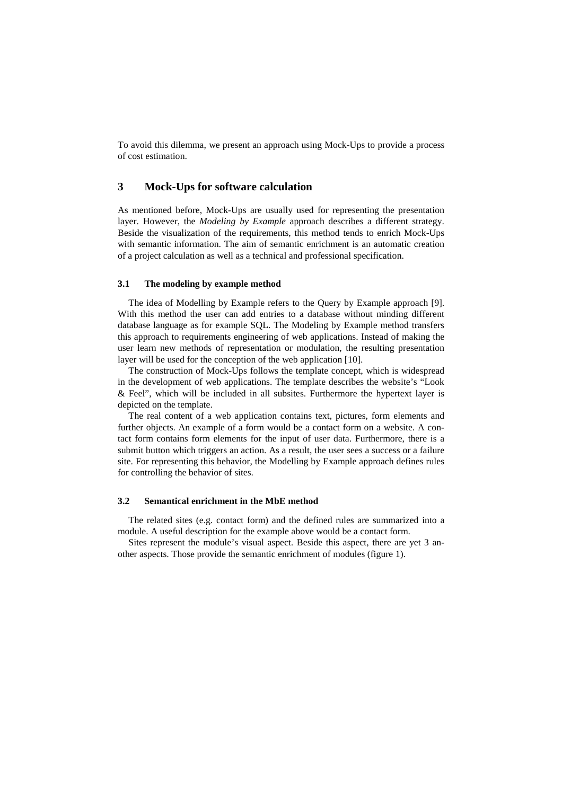To avoid this dilemma, we present an approach using Mock-Ups to provide a process of cost estimation.

## **3 Mock-Ups for software calculation**

As mentioned before, Mock-Ups are usually used for representing the presentation layer. However, the *Modeling by Example* approach describes a different strategy. Beside the visualization of the requirements, this method tends to enrich Mock-Ups with semantic information. The aim of semantic enrichment is an automatic creation of a project calculation as well as a technical and professional specification.

#### **3.1 The modeling by example method**

The idea of Modelling by Example refers to the Query by Example approach [9]. With this method the user can add entries to a database without minding different database language as for example SQL. The Modeling by Example method transfers this approach to requirements engineering of web applications. Instead of making the user learn new methods of representation or modulation, the resulting presentation layer will be used for the conception of the web application [10].

The construction of Mock-Ups follows the template concept, which is widespread in the development of web applications. The template describes the website's "Look & Feel", which will be included in all subsites. Furthermore the hypertext layer is depicted on the template.

The real content of a web application contains text, pictures, form elements and further objects. An example of a form would be a contact form on a website. A contact form contains form elements for the input of user data. Furthermore, there is a submit button which triggers an action. As a result, the user sees a success or a failure site. For representing this behavior, the Modelling by Example approach defines rules for controlling the behavior of sites.

#### **3.2 Semantical enrichment in the MbE method**

The related sites (e.g. contact form) and the defined rules are summarized into a module. A useful description for the example above would be a contact form.

Sites represent the module's visual aspect. Beside this aspect, there are yet 3 another aspects. Those provide the semantic enrichment of modules (figure 1).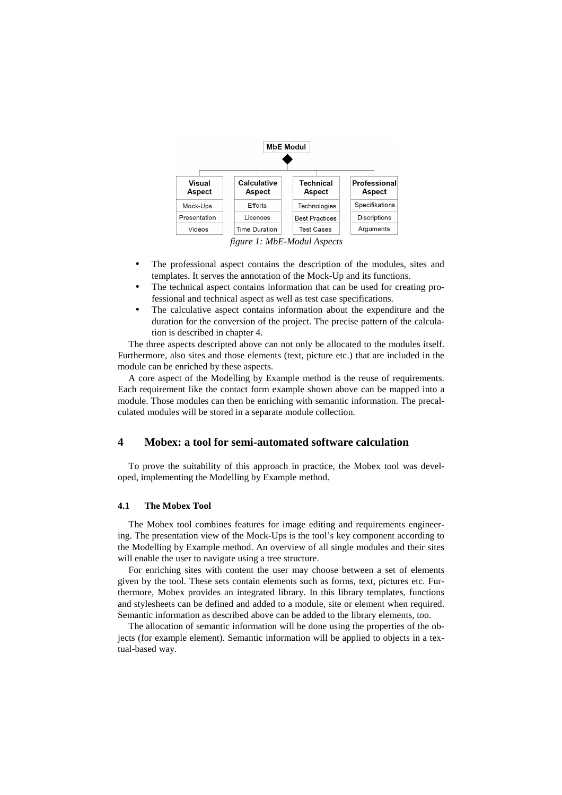

- The professional aspect contains the description of the modules, sites and templates. It serves the annotation of the Mock-Up and its functions.
- The technical aspect contains information that can be used for creating professional and technical aspect as well as test case specifications.
- The calculative aspect contains information about the expenditure and the duration for the conversion of the project. The precise pattern of the calculation is described in chapter 4.

The three aspects descripted above can not only be allocated to the modules itself. Furthermore, also sites and those elements (text, picture etc.) that are included in the module can be enriched by these aspects.

A core aspect of the Modelling by Example method is the reuse of requirements. Each requirement like the contact form example shown above can be mapped into a module. Those modules can then be enriching with semantic information. The precalculated modules will be stored in a separate module collection.

# **4 Mobex: a tool for semi-automated software calculation**

To prove the suitability of this approach in practice, the Mobex tool was developed, implementing the Modelling by Example method.

#### **4.1 The Mobex Tool**

The Mobex tool combines features for image editing and requirements engineering. The presentation view of the Mock-Ups is the tool's key component according to the Modelling by Example method. An overview of all single modules and their sites will enable the user to navigate using a tree structure.

For enriching sites with content the user may choose between a set of elements given by the tool. These sets contain elements such as forms, text, pictures etc. Furthermore, Mobex provides an integrated library. In this library templates, functions and stylesheets can be defined and added to a module, site or element when required. Semantic information as described above can be added to the library elements, too.

The allocation of semantic information will be done using the properties of the objects (for example element). Semantic information will be applied to objects in a textual-based way.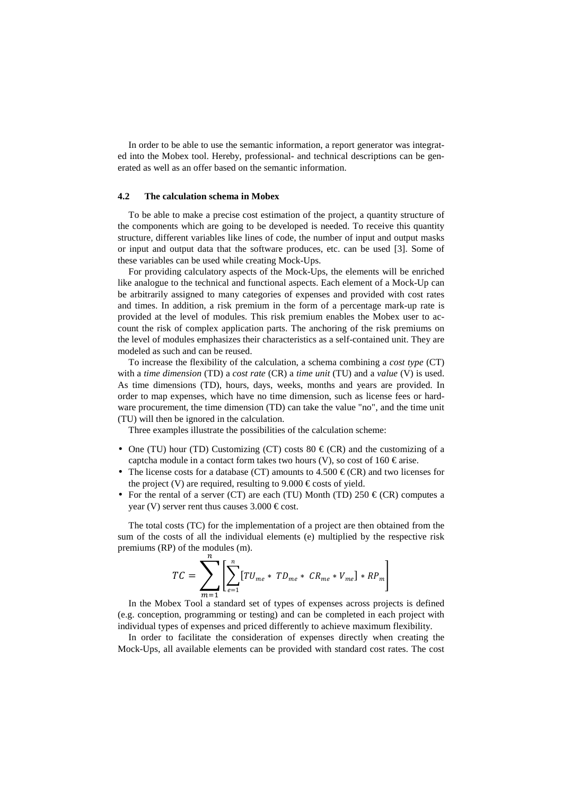In order to be able to use the semantic information, a report generator was integrated into the Mobex tool. Hereby, professional- and technical descriptions can be generated as well as an offer based on the semantic information.

#### **4.2 The calculation schema in Mobex**

To be able to make a precise cost estimation of the project, a quantity structure of the components which are going to be developed is needed. To receive this quantity structure, different variables like lines of code, the number of input and output masks or input and output data that the software produces, etc. can be used [3]. Some of these variables can be used while creating Mock-Ups.

For providing calculatory aspects of the Mock-Ups, the elements will be enriched like analogue to the technical and functional aspects. Each element of a Mock-Up can be arbitrarily assigned to many categories of expenses and provided with cost rates and times. In addition, a risk premium in the form of a percentage mark-up rate is provided at the level of modules. This risk premium enables the Mobex user to account the risk of complex application parts. The anchoring of the risk premiums on the level of modules emphasizes their characteristics as a self-contained unit. They are modeled as such and can be reused.

To increase the flexibility of the calculation, a schema combining a *cost type* (CT) with a *time dimension* (TD) a *cost rate* (CR) a *time unit* (TU) and a *value* (V) is used. As time dimensions (TD), hours, days, weeks, months and years are provided. In order to map expenses, which have no time dimension, such as license fees or hardware procurement, the time dimension (TD) can take the value "no", and the time unit (TU) will then be ignored in the calculation.

Three examples illustrate the possibilities of the calculation scheme:

- One (TU) hour (TD) Customizing (CT) costs  $80 \in (CR)$  and the customizing of a captcha module in a contact form takes two hours (V), so cost of 160  $\in$  arise.
- The license costs for a database (CT) amounts to  $4.500 \in (CR)$  and two licenses for the project (V) are required, resulting to 9.000  $\epsilon$  costs of yield.
- For the rental of a server (CT) are each (TU) Month (TD) 250  $\in$  (CR) computes a year (V) server rent thus causes  $3.000 \in \text{cost}$ .

The total costs (TC) for the implementation of a project are then obtained from the sum of the costs of all the individual elements (e) multiplied by the respective risk premiums (RP) of the modules (m).

$$
TC = \sum_{m=1}^{n} \left[ \sum_{e=1}^{n} [TU_{me} * TD_{me} * CR_{me} * V_{me}] * RP_{m} \right]
$$

 $m=1$ <br>In the Mobex Tool a standard set of types of expenses across projects is defined (e.g. conception, programming or testing) and can be completed in each project with individual types of expenses and priced differently to achieve maximum flexibility.

In order to facilitate the consideration of expenses directly when creating the Mock-Ups, all available elements can be provided with standard cost rates. The cost